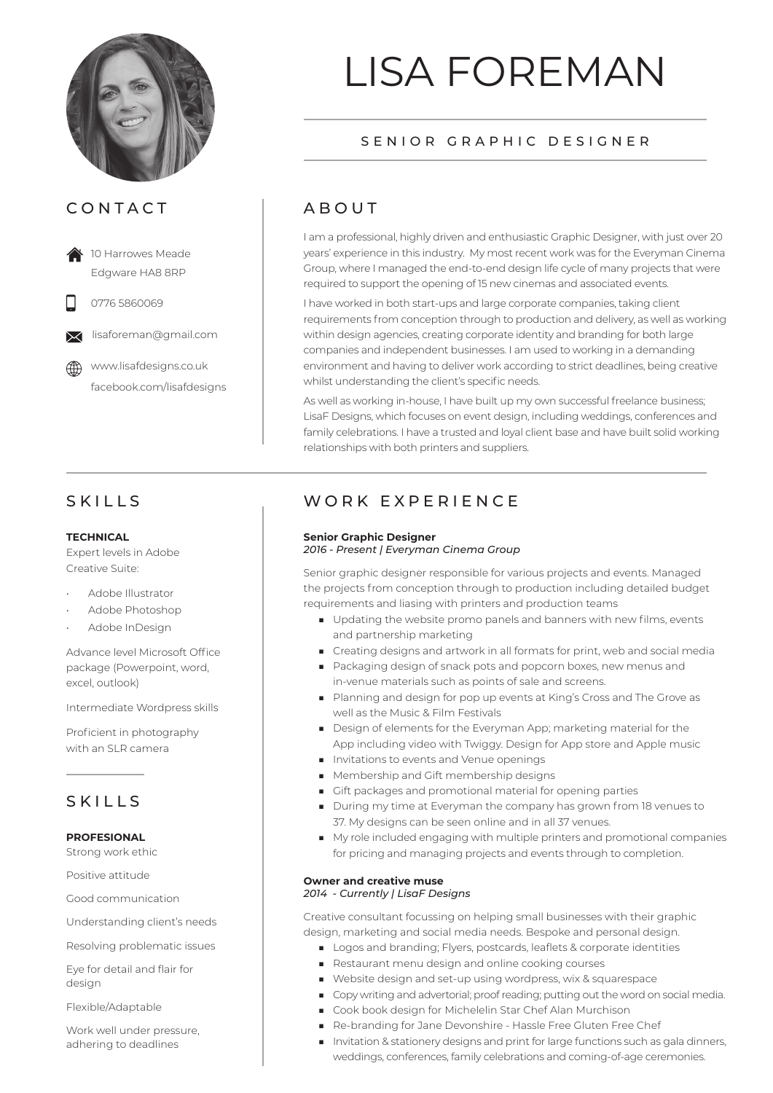

## CONTACT

 10 Harrowes Meade Edgware HA8 8RP

0776 5860069

lisaforeman@gmail.com

 www.lisafdesigns.co.uk facebook.com/lisafdesigns

## SKILLS

#### **TECHNICAL**

Expert levels in Adobe Creative Suite:

- Adobe Illustrator
- Adobe Photoshop
- Adobe InDesign

Advance level Microsoft Office package (Powerpoint, word, excel, outlook)

Intermediate Wordpress skills

Proficient in photography with an SLR camera

## SKILLS

#### **PROFESIONAL**

Strong work ethic

Positive attitude

Good communication

Understanding client's needs

Resolving problematic issues

Eye for detail and flair for design

Flexible/Adaptable

Work well under pressure, adhering to deadlines

# LISA FOREMAN

## SENIOR GRAPHIC DESIGNER

# ABOUT

I am a professional, highly driven and enthusiastic Graphic Designer, with just over 20 years' experience in this industry. My most recent work was for the Everyman Cinema Group, where I managed the end-to-end design life cycle of many projects that were required to support the opening of 15 new cinemas and associated events.

I have worked in both start-ups and large corporate companies, taking client requirements from conception through to production and delivery, as well as working within design agencies, creating corporate identity and branding for both large companies and independent businesses. I am used to working in a demanding environment and having to deliver work according to strict deadlines, being creative whilst understanding the client's specific needs.

As well as working in-house, I have built up my own successful freelance business; LisaF Designs, which focuses on event design, including weddings, conferences and family celebrations. I have a trusted and loyal client base and have built solid working relationships with both printers and suppliers.

## WORK **EXPERIENCE**

#### **Senior Graphic Designer** *2016 - Present | Everyman Cinema Group*

Senior graphic designer responsible for various projects and events. Managed the projects from conception through to production including detailed budget requirements and liasing with printers and production teams

- Updating the website promo panels and banners with new films, events and partnership marketing
- Creating designs and artwork in all formats for print, web and social media
- Packaging design of snack pots and popcorn boxes, new menus and in-venue materials such as points of sale and screens.
- Planning and design for pop up events at King's Cross and The Grove as well as the Music & Film Festivals
- Design of elements for the Everyman App; marketing material for the App including video with Twiggy. Design for App store and Apple music
- Invitations to events and Venue openings
- Membership and Gift membership designs
- Gift packages and promotional material for opening parties
- During my time at Everyman the company has grown from 18 yenues to 37. My designs can be seen online and in all 37 venues.
- My role included engaging with multiple printers and promotional companies for pricing and managing projects and events through to completion.

#### **Owner and creative muse**

*2014 - Currently | LisaF Designs*

Creative consultant focussing on helping small businesses with their graphic design, marketing and social media needs. Bespoke and personal design.

- Logos and branding; Flyers, postcards, leaflets & corporate identities
- Restaurant menu design and online cooking courses
- Website design and set-up using wordpress, wix & squarespace
- Copy writing and advertorial; proof reading; putting out the word on social media.
- Cook book design for Michelelin Star Chef Alan Murchison
- Re-branding for Jane Devonshire Hassle Free Gluten Free Chef
- Invitation & stationery designs and print for large functions such as gala dinners, weddings, conferences, family celebrations and coming-of-age ceremonies.